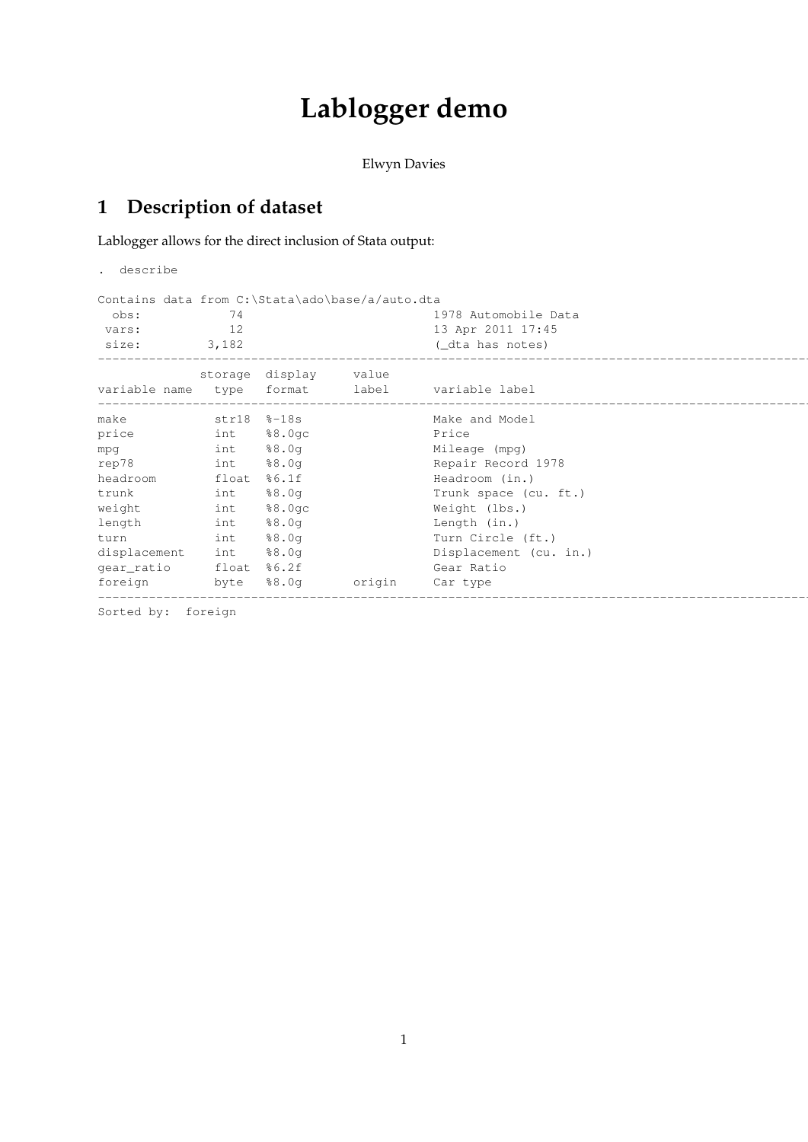## **Lablogger demo**

Elwyn Davies

## **1 Description of dataset**

Lablogger allows for the direct inclusion of Stata output:

. describe

|               |       |                 | Contains data from C:\Stata\ado\base/a/auto.dta |                        |  |
|---------------|-------|-----------------|-------------------------------------------------|------------------------|--|
| obs:          | 74    |                 |                                                 | 1978 Automobile Data   |  |
| vars:         | 12    |                 |                                                 | 13 Apr 2011 17:45      |  |
| size:         | 3,182 |                 |                                                 | (_dta has notes)       |  |
|               |       | storage display | value                                           |                        |  |
| variable name | type  | format          | label                                           | variable label         |  |
| make          |       | str18 %-18s     |                                                 | Make and Model         |  |
| price         | int   | 88.0qc          |                                                 | Price                  |  |
| mpg           | int   | 88.0q           |                                                 | Mileage (mpg)          |  |
| rep78         | int   | 88.0q           |                                                 | Repair Record 1978     |  |
| headroom      | float | 86.1f           |                                                 | Headroom (in.)         |  |
| trunk         | int   | 88.0q           |                                                 | Trunk space (cu. ft.)  |  |
| weight        | int   | 88.0qc          |                                                 | Weight (lbs.)          |  |
| length        | int   | 88.0q           |                                                 | Length (in.)           |  |
| turn          | int   | 88.0q           |                                                 | Turn Circle (ft.)      |  |
| displacement  | int   | 88.0q           |                                                 | Displacement (cu. in.) |  |
| gear_ratio    | float | %6.2f           |                                                 | Gear Ratio             |  |
| foreign       | byte  | 88.0q           | origin                                          | Car type               |  |

Sorted by: foreign